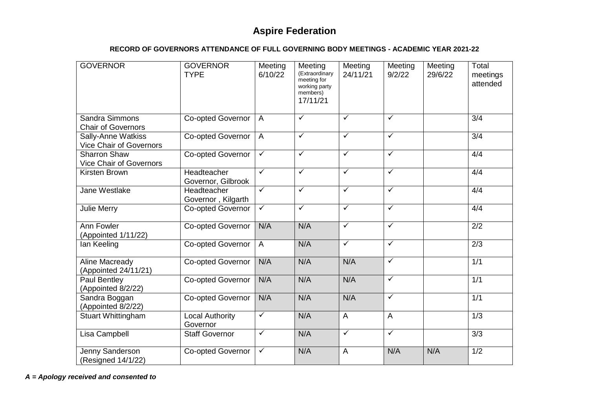## **RECORD OF GOVERNORS ATTENDANCE OF FULL GOVERNING BODY MEETINGS - ACADEMIC YEAR 2021-22**

| <b>GOVERNOR</b>                                       | <b>GOVERNOR</b><br><b>TYPE</b>     | Meeting<br>6/10/22      | Meeting<br>(Extraordinary<br>meeting for<br>working party<br>members)<br>17/11/21 | Meeting<br>24/11/21     | Meeting<br>9/2/22       | Meeting<br>29/6/22 | Total<br>meetings<br>attended |
|-------------------------------------------------------|------------------------------------|-------------------------|-----------------------------------------------------------------------------------|-------------------------|-------------------------|--------------------|-------------------------------|
| Sandra Simmons<br><b>Chair of Governors</b>           | Co-opted Governor                  | $\overline{A}$          | $\overline{\checkmark}$                                                           | $\overline{\checkmark}$ | $\overline{\checkmark}$ |                    | 3/4                           |
| Sally-Anne Watkiss<br>Vice Chair of Governors         | Co-opted Governor                  | $\overline{A}$          | $\overline{\checkmark}$                                                           | $\overline{\checkmark}$ | $\checkmark$            |                    | $\overline{3/4}$              |
| <b>Sharron Shaw</b><br><b>Vice Chair of Governors</b> | Co-opted Governor                  | $\sqrt{}$               | $\overline{\checkmark}$                                                           | $\sqrt{}$               | $\sqrt{}$               |                    | 4/4                           |
| Kirsten Brown                                         | Headteacher<br>Governor, Gilbrook  | $\checkmark$            | $\overline{\checkmark}$                                                           | $\overline{\checkmark}$ | $\overline{\checkmark}$ |                    | 4/4                           |
| Jane Westlake                                         | Headteacher<br>Governor, Kilgarth  | $\overline{\checkmark}$ | $\overline{\checkmark}$                                                           | $\checkmark$            | $\checkmark$            |                    | 4/4                           |
| <b>Julie Merry</b>                                    | Co-opted Governor                  | $\sqrt{}$               | $\overline{\checkmark}$                                                           | $\overline{\checkmark}$ | $\checkmark$            |                    | 4/4                           |
| Ann Fowler<br>(Appointed 1/11/22)                     | Co-opted Governor                  | N/A                     | N/A                                                                               | $\checkmark$            | $\checkmark$            |                    | $\overline{2/2}$              |
| lan Keeling                                           | Co-opted Governor                  | $\overline{A}$          | N/A                                                                               | $\overline{\checkmark}$ | $\checkmark$            |                    | 2/3                           |
| Aline Macready<br>(Appointed 24/11/21)                | Co-opted Governor                  | N/A                     | N/A                                                                               | N/A                     | $\overline{\checkmark}$ |                    | 1/1                           |
| Paul Bentley<br>(Appointed 8/2/22)                    | Co-opted Governor                  | N/A                     | N/A                                                                               | N/A                     | $\sqrt{}$               |                    | 1/1                           |
| Sandra Boggan<br>(Appointed 8/2/22)                   | <b>Co-opted Governor</b>           | N/A                     | N/A                                                                               | N/A                     | $\checkmark$            |                    | 1/1                           |
| <b>Stuart Whittingham</b>                             | <b>Local Authority</b><br>Governor | $\checkmark$            | N/A                                                                               | $\overline{A}$          | $\overline{A}$          |                    | 1/3                           |
| Lisa Campbell                                         | <b>Staff Governor</b>              | $\overline{\checkmark}$ | N/A                                                                               | $\overline{\checkmark}$ | $\checkmark$            |                    | 3/3                           |
| Jenny Sanderson<br>(Resigned 14/1/22)                 | Co-opted Governor                  | $\checkmark$            | N/A                                                                               | $\overline{A}$          | N/A                     | N/A                | $\overline{1/2}$              |

*A = Apology received and consented to*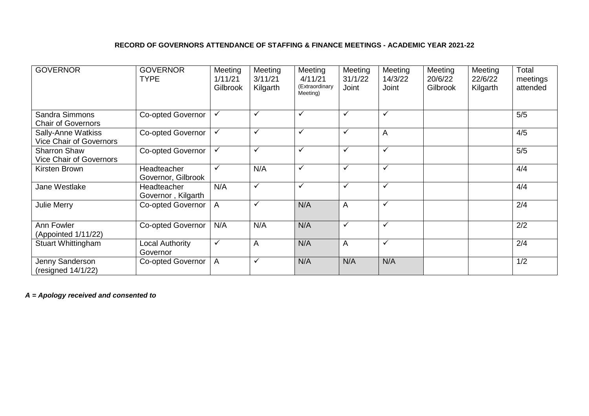## **RECORD OF GOVERNORS ATTENDANCE OF STAFFING & FINANCE MEETINGS - ACADEMIC YEAR 2021-22**

| <b>GOVERNOR</b>                                       | <b>GOVERNOR</b><br><b>TYPE</b>    | Meeting<br>1/11/21<br>Gilbrook | Meeting<br>3/11/21<br>Kilgarth | Meeting<br>4/11/21<br>(Extraordinary<br>Meeting) | Meeting<br>31/1/22<br>Joint | Meeting<br>14/3/22<br>Joint | Meeting<br>20/6/22<br>Gilbrook | Meeting<br>22/6/22<br>Kilgarth | Total<br>meetings<br>attended |
|-------------------------------------------------------|-----------------------------------|--------------------------------|--------------------------------|--------------------------------------------------|-----------------------------|-----------------------------|--------------------------------|--------------------------------|-------------------------------|
| Sandra Simmons<br><b>Chair of Governors</b>           | <b>Co-opted Governor</b>          | ✓                              | ✓                              | ✓                                                | $\checkmark$                | ✓                           |                                |                                | 5/5                           |
| Sally-Anne Watkiss<br><b>Vice Chair of Governors</b>  | <b>Co-opted Governor</b>          | $\checkmark$                   | $\checkmark$                   | $\checkmark$                                     | $\checkmark$                | A                           |                                |                                | 4/5                           |
| <b>Sharron Shaw</b><br><b>Vice Chair of Governors</b> | <b>Co-opted Governor</b>          | $\checkmark$                   | ✓                              | ✓                                                | $\checkmark$                | ✓                           |                                |                                | 5/5                           |
| Kirsten Brown                                         | Headteacher<br>Governor, Gilbrook | $\checkmark$                   | N/A                            | ✓                                                | $\checkmark$                | $\checkmark$                |                                |                                | 4/4                           |
| Jane Westlake                                         | Headteacher<br>Governor, Kilgarth | N/A                            | $\checkmark$                   | ✓                                                | $\checkmark$                | $\checkmark$                |                                |                                | 4/4                           |
| Julie Merry                                           | <b>Co-opted Governor</b>          | A                              | ✓                              | N/A                                              | A                           | $\checkmark$                |                                |                                | 2/4                           |
| Ann Fowler<br>(Appointed 1/11/22)                     | <b>Co-opted Governor</b>          | N/A                            | N/A                            | N/A                                              | $\checkmark$                | ✓                           |                                |                                | 2/2                           |
| <b>Stuart Whittingham</b>                             | Local Authority<br>Governor       | $\checkmark$                   | A                              | N/A                                              | A                           | ✓                           |                                |                                | 2/4                           |
| Jenny Sanderson<br>(resigned 14/1/22)                 | Co-opted Governor                 | A                              | $\checkmark$                   | N/A                                              | N/A                         | N/A                         |                                |                                | 1/2                           |

*A = Apology received and consented to*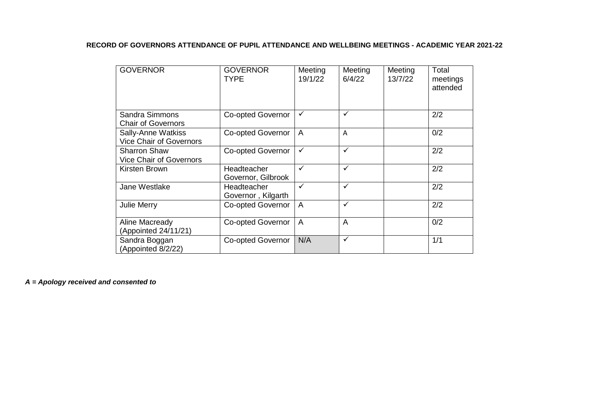## **RECORD OF GOVERNORS ATTENDANCE OF PUPIL ATTENDANCE AND WELLBEING MEETINGS - ACADEMIC YEAR 2021-22**

| <b>GOVERNOR</b>                                             | <b>GOVERNOR</b><br><b>TYPE</b>    | Meeting<br>19/1/22 | Meeting<br>6/4/22 | Meeting<br>13/7/22 | Total<br>meetings<br>attended |
|-------------------------------------------------------------|-----------------------------------|--------------------|-------------------|--------------------|-------------------------------|
| Sandra Simmons<br><b>Chair of Governors</b>                 | <b>Co-opted Governor</b>          | $\checkmark$       | ✓                 |                    | 2/2                           |
| <b>Sally-Anne Watkiss</b><br><b>Vice Chair of Governors</b> | Co-opted Governor                 | $\overline{A}$     | A                 |                    | 0/2                           |
| <b>Sharron Shaw</b><br><b>Vice Chair of Governors</b>       | <b>Co-opted Governor</b>          | $\checkmark$       | $\checkmark$      |                    | 2/2                           |
| Kirsten Brown                                               | Headteacher<br>Governor, Gilbrook | ✓                  | $\checkmark$      |                    | 2/2                           |
| Jane Westlake                                               | Headteacher<br>Governor, Kilgarth | $\checkmark$       | $\checkmark$      |                    | 2/2                           |
| Julie Merry                                                 | <b>Co-opted Governor</b>          | $\overline{A}$     | ✓                 |                    | 2/2                           |
| Aline Macready<br>(Appointed 24/11/21)                      | Co-opted Governor                 | $\overline{A}$     | A                 |                    | 0/2                           |
| Sandra Boggan<br>(Appointed 8/2/22)                         | <b>Co-opted Governor</b>          | N/A                | $\checkmark$      |                    | 1/1                           |

*A = Apology received and consented to*